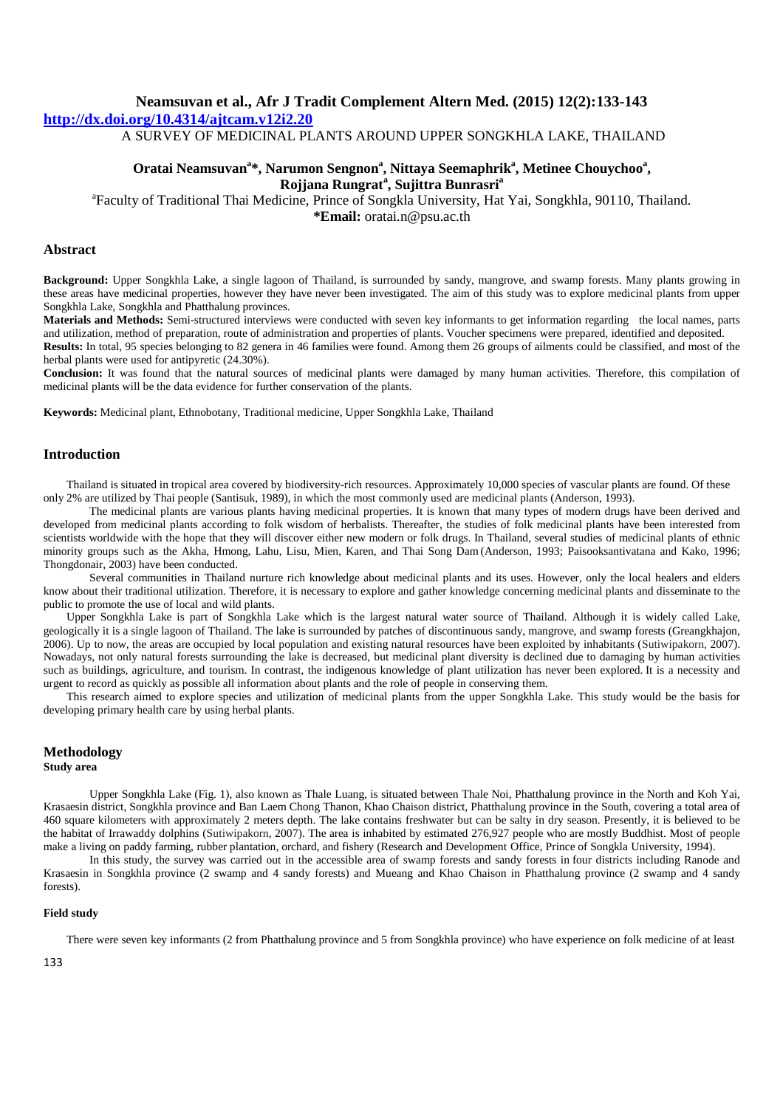**http://dx.doi.org/10.4314/ajtcam.v12i2.20**

A SURVEY OF MEDICINAL PLANTS AROUND UPPER SONGKHLA LAKE, THAILAND

# **Oratai Neamsuvan<sup>a</sup> \*, Narumon Sengnon<sup>a</sup> , Nittaya Seemaphrik<sup>a</sup> , Metinee Chouychoo<sup>a</sup> , Rojjana Rungrat<sup>a</sup> , Sujittra Bunrasri<sup>a</sup>**

a Faculty of Traditional Thai Medicine, Prince of Songkla University, Hat Yai, Songkhla, 90110, Thailand. **\*Email:** oratai.n@psu.ac.th

## **Abstract**

**Background:** Upper Songkhla Lake, a single lagoon of Thailand, is surrounded by sandy, mangrove, and swamp forests. Many plants growing in these areas have medicinal properties, however they have never been investigated. The aim of this study was to explore medicinal plants from upper Songkhla Lake, Songkhla and Phatthalung provinces.

**Materials and Methods:** Semi-structured interviews were conducted with seven key informants to get information regarding the local names, parts and utilization, method of preparation, route of administration and properties of plants. Voucher specimens were prepared, identified and deposited.

**Results:** In total, 95 species belonging to 82 genera in 46 families were found. Among them 26 groups of ailments could be classified, and most of the herbal plants were used for antipyretic (24.30%).

**Conclusion:** It was found that the natural sources of medicinal plants were damaged by many human activities. Therefore, this compilation of medicinal plants will be the data evidence for further conservation of the plants.

**Keywords:** Medicinal plant, Ethnobotany, Traditional medicine, Upper Songkhla Lake, Thailand

### **Introduction**

Thailand is situated in tropical area covered by biodiversity-rich resources. Approximately 10,000 species of vascular plants are found. Of these only 2% are utilized by Thai people (Santisuk, 1989), in which the most commonly used are medicinal plants (Anderson, 1993).

The medicinal plants are various plants having medicinal properties. It is known that many types of modern drugs have been derived and developed from medicinal plants according to folk wisdom of herbalists. Thereafter, the studies of folk medicinal plants have been interested from scientists worldwide with the hope that they will discover either new modern or folk drugs. In Thailand, several studies of medicinal plants of ethnic minority groups such as the Akha, Hmong, Lahu, Lisu, Mien, Karen, and Thai Song Dam (Anderson, 1993; Paisooksantivatana and Kako, 1996; Thongdonair, 2003) have been conducted.

Several communities in Thailand nurture rich knowledge about medicinal plants and its uses. However, only the local healers and elders know about their traditional utilization. Therefore, it is necessary to explore and gather knowledge concerning medicinal plants and disseminate to the public to promote the use of local and wild plants.

Upper Songkhla Lake is part of Songkhla Lake which is the largest natural water source of Thailand. Although it is widely called Lake, geologically it is a single lagoon of Thailand. The lake is surrounded by patches of discontinuous sandy, mangrove, and swamp forests (Greangkhajon, 2006). Up to now, the areas are occupied by local population and existing natural resources have been exploited by inhabitants (Sutiwipakorn, 2007). Nowadays, not only natural forests surrounding the lake is decreased, but medicinal plant diversity is declined due to damaging by human activities such as buildings, agriculture, and tourism. In contrast, the indigenous knowledge of plant utilization has never been explored. It is a necessity and urgent to record as quickly as possible all information about plants and the role of people in conserving them.

This research aimed to explore species and utilization of medicinal plants from the upper Songkhla Lake. This study would be the basis for developing primary health care by using herbal plants.

### **Methodology**

#### **Study area**

Upper Songkhla Lake (Fig. 1), also known as Thale Luang, is situated between Thale Noi, Phatthalung province in the North and Koh Yai, Krasaesin district, Songkhla province and Ban Laem Chong Thanon, Khao Chaison district, Phatthalung province in the South, covering a total area of 460 square kilometers with approximately 2 meters depth. The lake contains freshwater but can be salty in dry season. Presently, it is believed to be the habitat of Irrawaddy dolphins (Sutiwipakorn, 2007). The area is inhabited by estimated 276,927 people who are mostly Buddhist. Most of people make a living on paddy farming, rubber plantation, orchard, and fishery (Research and Development Office, Prince of Songkla University, 1994).

In this study, the survey was carried out in the accessible area of swamp forests and sandy forests in four districts including Ranode and Krasaesin in Songkhla province (2 swamp and 4 sandy forests) and Mueang and Khao Chaison in Phatthalung province (2 swamp and 4 sandy forests).

### **Field study**

There were seven key informants (2 from Phatthalung province and 5 from Songkhla province) who have experience on folk medicine of at least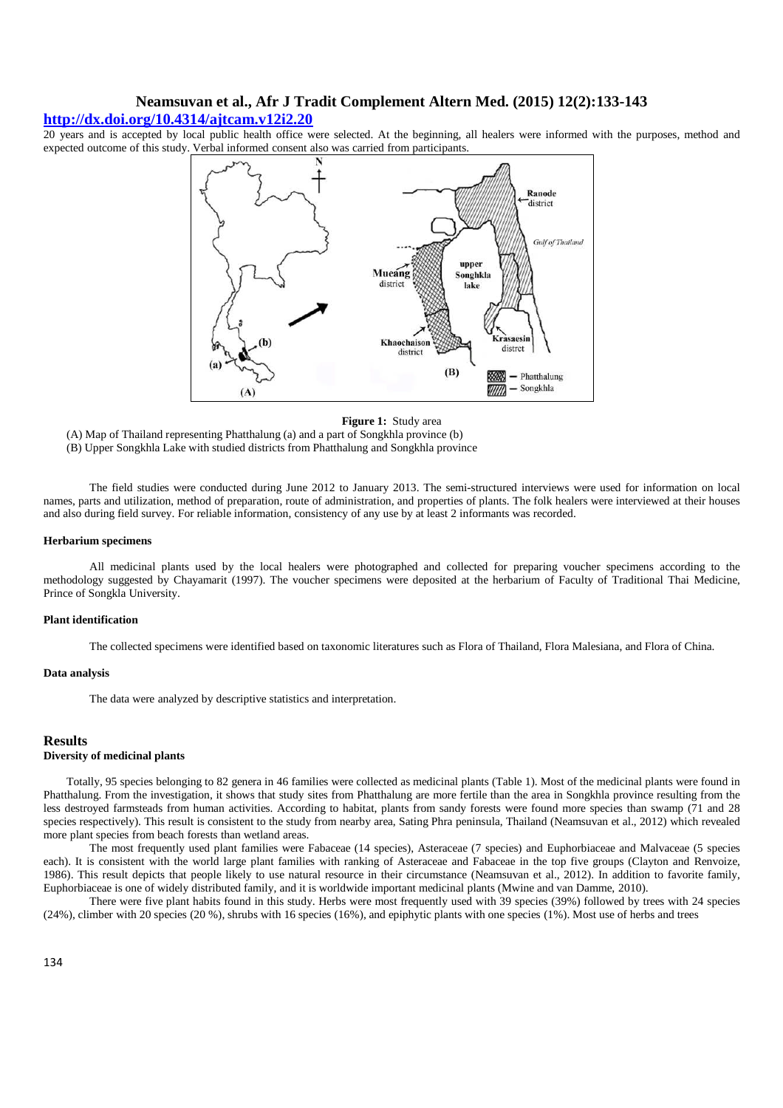## **http://dx.doi.org/10.4314/ajtcam.v12i2.20**

20 years and is accepted by local public health office were selected. At the beginning, all healers were informed with the purposes, method and expected outcome of this study. Verbal informed consent also was carried from participants.



**Figure 1:** Study area

(A) Map of Thailand representing Phatthalung (a) and a part of Songkhla province (b) (B) Upper Songkhla Lake with studied districts from Phatthalung and Songkhla province

The field studies were conducted during June 2012 to January 2013. The semi-structured interviews were used for information on local names, parts and utilization, method of preparation, route of administration, and properties of plants. The folk healers were interviewed at their houses and also during field survey. For reliable information, consistency of any use by at least 2 informants was recorded.

#### **Herbarium specimens**

All medicinal plants used by the local healers were photographed and collected for preparing voucher specimens according to the methodology suggested by Chayamarit (1997). The voucher specimens were deposited at the herbarium of Faculty of Traditional Thai Medicine, Prince of Songkla University.

### **Plant identification**

The collected specimens were identified based on taxonomic literatures such as Flora of Thailand, Flora Malesiana, and Flora of China.

### **Data analysis**

The data were analyzed by descriptive statistics and interpretation.

### **Results**

## **Diversity of medicinal plants**

Totally, 95 species belonging to 82 genera in 46 families were collected as medicinal plants (Table 1). Most of the medicinal plants were found in Phatthalung. From the investigation, it shows that study sites from Phatthalung are more fertile than the area in Songkhla province resulting from the less destroyed farmsteads from human activities. According to habitat, plants from sandy forests were found more species than swamp (71 and 28 species respectively). This result is consistent to the study from nearby area, Sating Phra peninsula, Thailand (Neamsuvan et al., 2012) which revealed more plant species from beach forests than wetland areas.

The most frequently used plant families were Fabaceae (14 species), Asteraceae (7 species) and Euphorbiaceae and Malvaceae (5 species each). It is consistent with the world large plant families with ranking of Asteraceae and Fabaceae in the top five groups (Clayton and Renvoize, 1986). This result depicts that people likely to use natural resource in their circumstance (Neamsuvan et al., 2012). In addition to favorite family, Euphorbiaceae is one of widely distributed family, and it is worldwide important medicinal plants (Mwine and van Damme, 2010).

There were five plant habits found in this study. Herbs were most frequently used with 39 species (39%) followed by trees with 24 species (24%), climber with 20 species (20 %), shrubs with 16 species (16%), and epiphytic plants with one species (1%). Most use of herbs and trees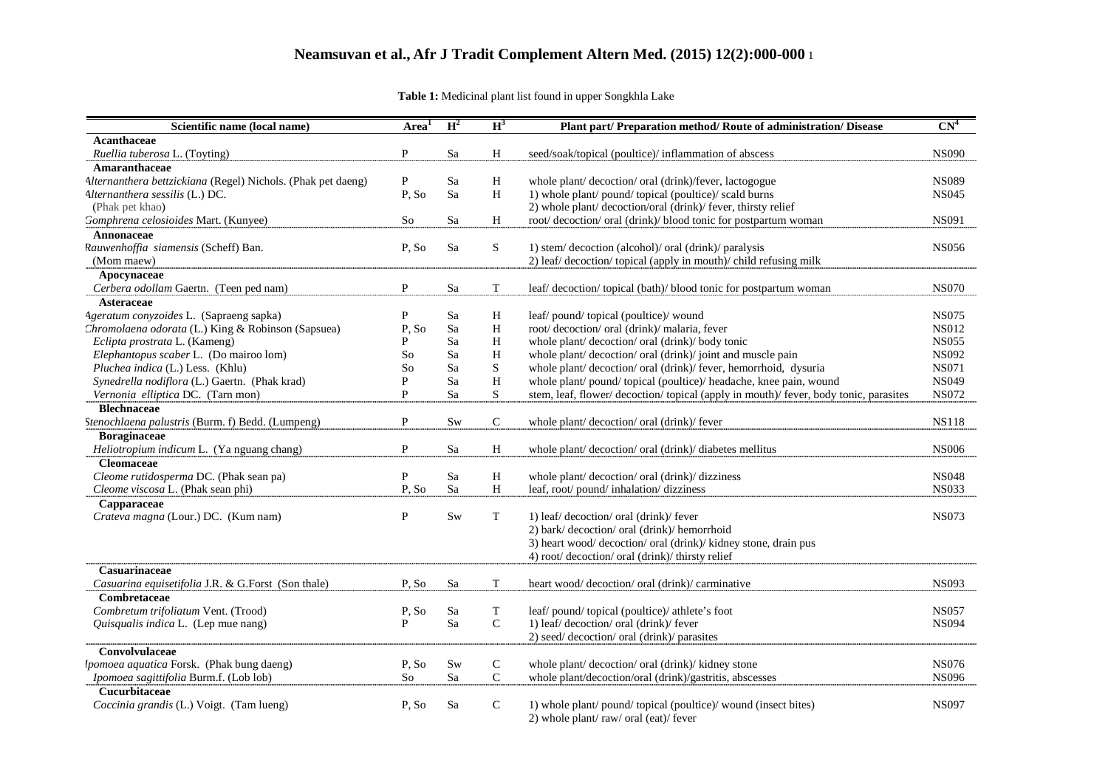| Scientific name (local name)                                 | Area <sup>1</sup> | $H^2$     | $H^3$        | Plant part/ Preparation method/ Route of administration/ Disease                   | CN <sup>4</sup> |
|--------------------------------------------------------------|-------------------|-----------|--------------|------------------------------------------------------------------------------------|-----------------|
| Acanthaceae                                                  |                   |           |              |                                                                                    |                 |
| Ruellia tuberosa L. (Toyting)                                | P                 | Sa        | H            | seed/soak/topical (poultice)/ inflammation of abscess                              | <b>NS090</b>    |
| Amaranthaceae                                                |                   |           |              |                                                                                    |                 |
| Alternanthera bettzickiana (Regel) Nichols. (Phak pet daeng) | P                 | Sa        | H            | whole plant/decoction/oral (drink)/fever, lactogogue                               | <b>NS089</b>    |
| Alternanthera sessilis (L.) DC.                              | P, So             | Sa        | H            | 1) whole plant/pound/topical (poultice)/ scald burns                               | <b>NS045</b>    |
| (Phak pet khao)                                              |                   |           |              | 2) whole plant/decoction/oral (drink)/fever, thirsty relief                        |                 |
| Gomphrena celosioides Mart. (Kunyee)                         | So                | Sa        | H            | root/ decoction/ oral (drink)/ blood tonic for postpartum woman                    | <b>NS091</b>    |
| Annonaceae                                                   |                   |           |              |                                                                                    |                 |
| Rauwenhoffia siamensis (Scheff) Ban.                         | P, So             | Sa        | ${\bf S}$    | 1) stem/decoction (alcohol)/ oral (drink)/ paralysis                               | <b>NS056</b>    |
| (Mom maew)                                                   |                   |           |              | 2) leaf/decoction/topical (apply in mouth)/child refusing milk                     |                 |
| Apocynaceae                                                  |                   |           |              |                                                                                    |                 |
| Cerbera odollam Gaertn. (Teen ped nam)                       | P                 | Sa        | T            | leaf/decoction/topical (bath)/blood tonic for postpartum woman                     | <b>NS070</b>    |
| Asteraceae                                                   |                   |           |              |                                                                                    |                 |
| Ageratum conyzoides L. (Sapraeng sapka)                      | P                 | Sa        | H            | leaf/pound/topical (poultice)/wound                                                | <b>NS075</b>    |
| Chromolaena odorata (L.) King & Robinson (Sapsuea)           | P, So             | Sa        | H            | root/decoction/oral (drink)/malaria, fever                                         | <b>NS012</b>    |
| Eclipta prostrata L. (Kameng)                                | P                 | Sa        | H            | whole plant/decoction/oral (drink)/body tonic                                      | <b>NS055</b>    |
| Elephantopus scaber L. (Do mairoo lom)                       | So                | Sa        | H            | whole plant/decoction/oral (drink)/joint and muscle pain                           | <b>NS092</b>    |
| Pluchea indica (L.) Less. (Khlu)                             | So                | Sa        | ${\bf S}$    | whole plant/decoction/oral (drink)/fever, hemorrhoid, dysuria                      | <b>NS071</b>    |
| Synedrella nodiflora (L.) Gaertn. (Phak krad)                | P                 | Sa        | $\, {\rm H}$ | whole plant/pound/topical (poultice)/headache, knee pain, wound                    | <b>NS049</b>    |
| Vernonia elliptica DC. (Tarn mon)                            | P                 | Sa        | ${\bf S}$    | stem, leaf, flower/decoction/topical (apply in mouth)/fever, body tonic, parasites | <b>NS072</b>    |
| <b>Blechnaceae</b>                                           |                   |           |              |                                                                                    |                 |
| Stenochlaena palustris (Burm. f) Bedd. (Lumpeng)             | P                 | <b>Sw</b> | $\mathsf{C}$ | whole plant/ decoction/ oral (drink)/ fever                                        | <b>NS118</b>    |
| <b>Boraginaceae</b>                                          |                   |           |              |                                                                                    |                 |
| Heliotropium indicum L. (Ya nguang chang)                    | $\mathbf{P}$      | Sa        | H            | whole plant/decoction/oral (drink)/diabetes mellitus                               | <b>NS006</b>    |
| <b>Cleomaceae</b>                                            |                   |           |              |                                                                                    |                 |
| Cleome rutidosperma DC. (Phak sean pa)                       | P                 | Sa        | H            | whole plant/decoction/oral (drink)/dizziness                                       | <b>NS048</b>    |
| Cleome viscosa L. (Phak sean phi)                            | P, So             | Sa        | H            | leaf, root/pound/inhalation/dizziness                                              | <b>NS033</b>    |
| Capparaceae                                                  |                   |           |              |                                                                                    |                 |
| Crateva magna (Lour.) DC. (Kum nam)                          | P                 | Sw        | T            | 1) leaf/decoction/oral (drink)/fever                                               | <b>NS073</b>    |
|                                                              |                   |           |              | 2) bark/decoction/oral (drink)/hemorrhoid                                          |                 |
|                                                              |                   |           |              | 3) heart wood/ decoction/ oral (drink)/ kidney stone, drain pus                    |                 |
|                                                              |                   |           |              | 4) root/ decoction/ oral (drink)/ thirsty relief                                   |                 |
| Casuarinaceae                                                |                   |           |              |                                                                                    |                 |
| Casuarina equisetifolia J.R. & G.Forst (Son thale)           | P.So              | Sa        | T            | heart wood/ decoction/ oral (drink)/ carminative                                   | <b>NS093</b>    |
| Combretaceae                                                 |                   |           |              |                                                                                    |                 |
| Combretum trifoliatum Vent. (Trood)                          | P, So             | Sa        | $\mathbf T$  | leaf/pound/topical (poultice)/athlete's foot                                       | <b>NS057</b>    |
| Quisqualis indica L. (Lep mue nang)                          | P                 | Sa        | $\mathsf C$  | 1) leaf/decoction/oral (drink)/fever                                               | <b>NS094</b>    |
|                                                              |                   |           |              | 2) seed/decoction/oral (drink)/parasites                                           |                 |
| Convolvulaceae                                               |                   |           |              |                                                                                    |                 |
| Ipomoea aquatica Forsk. (Phak bung daeng)                    | P, So             | Sw        | $\mathsf{C}$ | whole plant/decoction/oral (drink)/kidney stone                                    | <b>NS076</b>    |
| Ipomoea sagittifolia Burm.f. (Lob lob)                       | So                | Sa        | $\mathsf{C}$ | whole plant/decoction/oral (drink)/gastritis, abscesses                            | <b>NS096</b>    |
| Cucurbitaceae                                                |                   |           |              |                                                                                    |                 |
| Coccinia grandis (L.) Voigt. (Tam lueng)                     | P, So             | Sa        | $\mathbf C$  | 1) whole plant/pound/topical (poultice)/wound (insect bites)                       | <b>NS097</b>    |
|                                                              |                   |           |              | 2) whole plant/raw/oral (eat)/fever                                                |                 |

**Table 1:** Medicinal plant list found in upper Songkhla Lake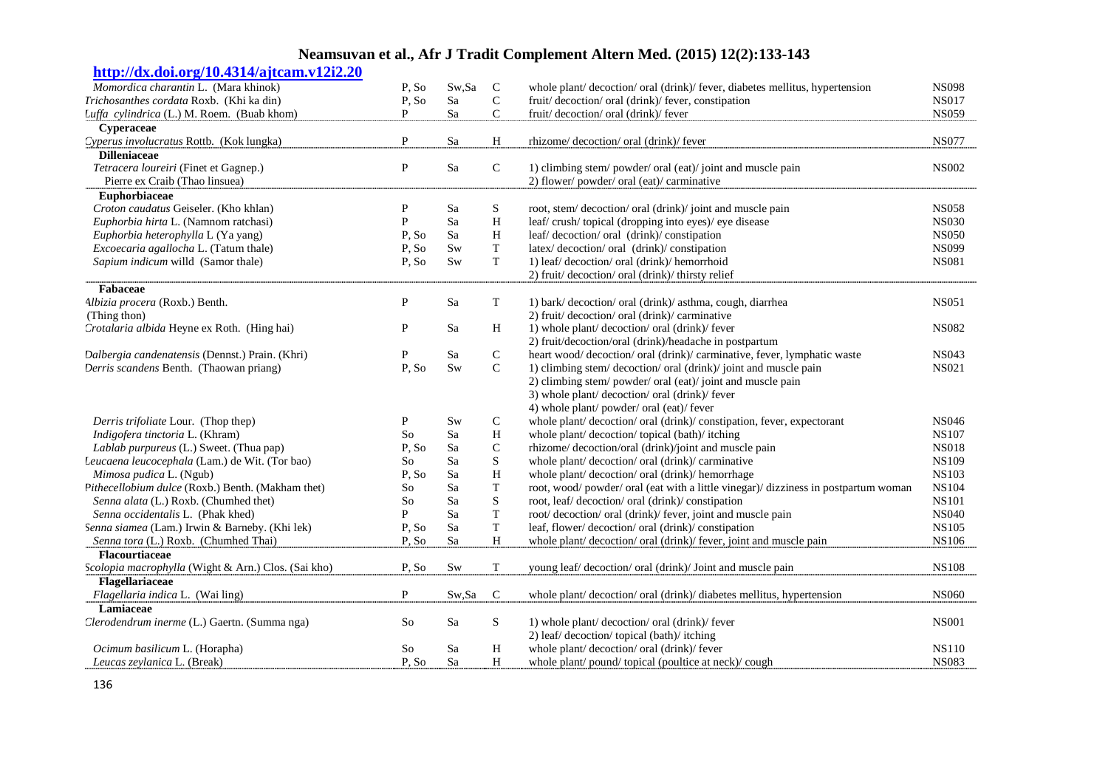| http://dx.doi.org/10.4314/ajtcam.v12i2.20           |              |           |              |                                                                                  |              |
|-----------------------------------------------------|--------------|-----------|--------------|----------------------------------------------------------------------------------|--------------|
| Momordica charantin L. (Mara khinok)                | P.So         | Sw,Sa     | $\mathsf{C}$ | whole plant/decoction/oral (drink)/fever, diabetes mellitus, hypertension        | <b>NS098</b> |
| Trichosanthes cordata Roxb. (Khi ka din)            | P, So        | Sa        | ${\bf C}$    | fruit/decoction/oral (drink)/fever, constipation                                 | <b>NS017</b> |
| Luffa cylindrica (L.) M. Roem. (Buab khom)          | P            | Sa        | $\mathbf C$  | fruit/decoction/oral (drink)/fever                                               | <b>NS059</b> |
| Cyperaceae                                          |              |           |              |                                                                                  |              |
| Cyperus involucratus Rottb. (Kok lungka)            | P            | Sa        | H            | rhizome/ decoction/ oral (drink)/ fever                                          | <b>NS077</b> |
| <b>Dilleniaceae</b>                                 |              |           |              |                                                                                  |              |
| Tetracera loureiri (Finet et Gagnep.)               | P            | Sa        | ${\bf C}$    | 1) climbing stem/powder/ oral (eat)/joint and muscle pain                        | <b>NS002</b> |
| Pierre ex Craib (Thao linsuea)                      |              |           |              | 2) flower/powder/ oral (eat)/ carminative                                        |              |
| Euphorbiaceae                                       |              |           |              |                                                                                  |              |
| Croton caudatus Geiseler. (Kho khlan)               | $\mathbf{P}$ | Sa        | ${\bf S}$    | root, stem/ decoction/ oral (drink)/ joint and muscle pain                       | <b>NS058</b> |
| Euphorbia hirta L. (Namnom ratchasi)                | $\mathbf{P}$ | Sa        | H            | leaf/crush/topical (dropping into eyes)/eye disease                              | <b>NS030</b> |
| Euphorbia heterophylla L (Ya yang)                  | P.So         | Sa        | H            | leaf/decoction/oral (drink)/constipation                                         | <b>NS050</b> |
| Excoecaria agallocha L. (Tatum thale)               | P, So        | <b>Sw</b> | $\mathbf T$  | latex/decoction/oral (drink)/constipation                                        | <b>NS099</b> |
| Sapium indicum willd (Samor thale)                  | P, So        | Sw        | $\mathbf T$  | 1) leaf/decoction/oral (drink)/hemorrhoid                                        | <b>NS081</b> |
|                                                     |              |           |              | 2) fruit/decoction/ oral (drink)/ thirsty relief                                 |              |
| Fabaceae                                            |              |           |              |                                                                                  |              |
| Albizia procera (Roxb.) Benth.                      | $\mathbf{P}$ | Sa        | T            | 1) bark/decoction/oral (drink)/asthma, cough, diarrhea                           | <b>NS051</b> |
| (Thing thon)                                        |              |           |              | 2) fruit/decoction/oral (drink)/carminative                                      |              |
| Crotalaria albida Heyne ex Roth. (Hing hai)         | P            | Sa        | H            | 1) whole plant/ decoction/ oral (drink)/ fever                                   | <b>NS082</b> |
|                                                     |              |           |              | 2) fruit/decoction/oral (drink)/headache in postpartum                           |              |
| Dalbergia candenatensis (Dennst.) Prain. (Khri)     | P            | Sa        | $\mathbf C$  | heart wood/decoction/oral (drink)/carminative, fever, lymphatic waste            | <b>NS043</b> |
| Derris scandens Benth. (Thaowan priang)             | P, So        | <b>Sw</b> | $\mathsf{C}$ | 1) climbing stem/ decoction/ oral (drink)/ joint and muscle pain                 | <b>NS021</b> |
|                                                     |              |           |              | 2) climbing stem/powder/ oral (eat)/joint and muscle pain                        |              |
|                                                     |              |           |              | 3) whole plant/decoction/oral (drink)/fever                                      |              |
|                                                     |              |           |              | 4) whole plant/powder/ oral (eat)/ fever                                         |              |
| Derris trifoliate Lour. (Thop thep)                 | P            | Sw        | $\mathsf{C}$ | whole plant/decoction/oral (drink)/constipation, fever, expectorant              | <b>NS046</b> |
| Indigofera tinctoria L. (Khram)                     | So           | Sa        | H            | whole plant/ decoction/ topical (bath)/ itching                                  | <b>NS107</b> |
| Lablab purpureus (L.) Sweet. (Thua pap)             | P, So        | Sa        | $\mathsf{C}$ | rhizome/decoction/oral (drink)/joint and muscle pain                             | <b>NS018</b> |
| Leucaena leucocephala (Lam.) de Wit. (Tor bao)      | So           | Sa        | S            | whole plant/decoction/oral (drink)/carminative                                   | <b>NS109</b> |
| Mimosa pudica L. (Ngub)                             | P.So         | Sa        | H            | whole plant/decoction/oral (drink)/hemorrhage                                    | <b>NS103</b> |
| Pithecellobium dulce (Roxb.) Benth. (Makham thet)   | So           | Sa        | $\mathbf T$  | root, wood/powder/oral (eat with a little vinegar)/dizziness in postpartum woman | <b>NS104</b> |
| Senna alata (L.) Roxb. (Chumhed thet)               | So           | Sa        | S            | root, leaf/decoction/oral (drink)/constipation                                   | <b>NS101</b> |
| Senna occidentalis L. (Phak khed)                   | P            | Sa        | T            | root/decoction/oral (drink)/fever, joint and muscle pain                         | <b>NS040</b> |
| Senna siamea (Lam.) Irwin & Barneby. (Khi lek)      | P, So        | Sa        | $\mathbf T$  | leaf, flower/decoction/oral (drink)/constipation                                 | <b>NS105</b> |
| Senna tora (L.) Roxb. (Chumhed Thai)                | P, So        | Sa        | H            | whole plant/decoction/oral (drink)/fever, joint and muscle pain                  | NS106        |
| <b>Flacourtiaceae</b>                               |              |           |              |                                                                                  |              |
| Scolopia macrophylla (Wight & Arn.) Clos. (Sai kho) | P, So        | Sw        | $\mathbf T$  | young leaf/decoction/oral (drink)/Joint and muscle pain                          | <b>NS108</b> |
| Flagellariaceae                                     |              |           |              |                                                                                  |              |
| Flagellaria indica L. (Wai ling)                    | P            | Sw,Sa     | $\mathsf{C}$ | whole plant/decoction/oral (drink)/diabetes mellitus, hypertension               | <b>NS060</b> |
| Lamiaceae                                           |              |           |              |                                                                                  |              |
| Clerodendrum inerme (L.) Gaertn. (Summa nga)        | So           | Sa        | S            | 1) whole plant/ decoction/ oral (drink)/ fever                                   | <b>NS001</b> |
|                                                     |              |           |              | 2) leaf/decoction/topical (bath)/itching                                         |              |
| Ocimum basilicum L. (Horapha)                       | So           | Sa        | H            | whole plant/decoction/oral (drink)/fever                                         | <b>NS110</b> |
| Leucas zeylanica L. (Break)                         | P, So        | Sa        | H            | whole plant/pound/topical (poultice at neck)/cough                               | <b>NS083</b> |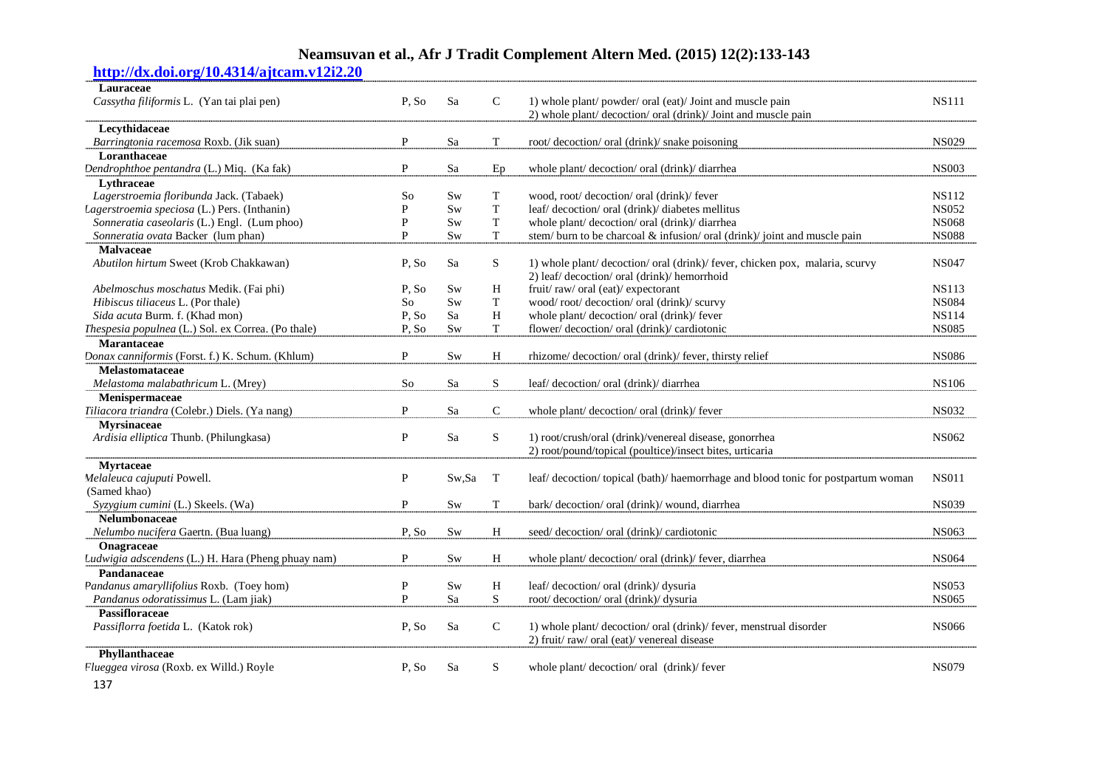| http://dx.doi.org/10.4314/ajtcam.v12i2.20              |              |           |              |                                                                                                                          |              |
|--------------------------------------------------------|--------------|-----------|--------------|--------------------------------------------------------------------------------------------------------------------------|--------------|
| Lauraceae<br>Cassytha filiformis L. (Yan tai plai pen) | P, So        | Sa        | $\mathsf{C}$ | 1) whole plant/powder/ oral (eat)/ Joint and muscle pain<br>2) whole plant/decoction/oral (drink)/ Joint and muscle pain | <b>NS111</b> |
| Lecythidaceae                                          |              |           |              |                                                                                                                          |              |
| Barringtonia racemosa Roxb. (Jik suan)                 | $\mathbf{P}$ | Sa        | T            | root/ decoction/ oral (drink)/ snake poisoning                                                                           | <b>NS029</b> |
| Loranthaceae                                           |              |           |              |                                                                                                                          |              |
| Dendrophthoe pentandra (L.) Miq. (Ka fak)              | P            | Sa        | Ep           | whole plant/ decoction/ oral (drink)/ diarrhea                                                                           | <b>NS003</b> |
| Lythraceae                                             |              |           |              |                                                                                                                          |              |
| Lagerstroemia floribunda Jack. (Tabaek)                | So           | Sw        | T            | wood, root/decoction/oral (drink)/fever                                                                                  | <b>NS112</b> |
| Lagerstroemia speciosa (L.) Pers. (Inthanin)           | P            | <b>Sw</b> | T            | leaf/decoction/oral (drink)/diabetes mellitus                                                                            | <b>NS052</b> |
| Sonneratia caseolaris (L.) Engl. (Lum phoo)            | P            | <b>Sw</b> | T            | whole plant/decoction/oral (drink)/diarrhea                                                                              | <b>NS068</b> |
| Sonneratia ovata Backer (lum phan)                     | P            | <b>Sw</b> | T            | stem/ burn to be charcoal & infusion/ oral (drink)/ joint and muscle pain                                                | <b>NS088</b> |
| <b>Malvaceae</b>                                       |              |           |              |                                                                                                                          |              |
| Abutilon hirtum Sweet (Krob Chakkawan)                 | P, So        | Sa        | S            | 1) whole plant/decoction/oral (drink)/fever, chicken pox, malaria, scurvy<br>2) leaf/decoction/oral (drink)/hemorrhoid   | <b>NS047</b> |
| Abelmoschus moschatus Medik. (Fai phi)                 | P, So        | Sw        | Η            | fruit/raw/oral (eat)/expectorant                                                                                         | <b>NS113</b> |
| Hibiscus tiliaceus L. (Por thale)                      | So           | <b>Sw</b> | $\mathbf T$  | wood/root/decoction/oral (drink)/scurvy                                                                                  | <b>NS084</b> |
| Sida acuta Burm. f. (Khad mon)                         | P, So        | Sa        | H            | whole plant/ decoction/ oral (drink)/ fever                                                                              | <b>NS114</b> |
| Thespesia populnea (L.) Sol. ex Correa. (Po thale)     | P.So         | Sw        | T            | flower/decoction/oral (drink)/cardiotonic                                                                                | <b>NS085</b> |
| Marantaceae                                            |              |           |              |                                                                                                                          |              |
| Donax canniformis (Forst. f.) K. Schum. (Khlum)        | P            | Sw        | H            | rhizome/ decoction/ oral (drink)/ fever, thirsty relief                                                                  | <b>NS086</b> |
| <b>Melastomataceae</b>                                 |              |           |              |                                                                                                                          |              |
| Melastoma malabathricum L. (Mrey)                      | So           | Sa        | S            | leaf/decoction/oral (drink)/diarrhea                                                                                     | <b>NS106</b> |
| Menispermaceae                                         |              |           |              |                                                                                                                          |              |
| Tiliacora triandra (Colebr.) Diels. (Ya nang)          | $\mathbf{P}$ | Sa        | $\mathbf C$  | whole plant/ decoction/ oral (drink)/ fever                                                                              | <b>NS032</b> |
| <b>Myrsinaceae</b>                                     |              |           |              |                                                                                                                          |              |
| Ardisia elliptica Thunb. (Philungkasa)                 | $\mathbf{P}$ | Sa        | S            | 1) root/crush/oral (drink)/venereal disease, gonorrhea<br>2) root/pound/topical (poultice)/insect bites, urticaria       | <b>NS062</b> |
| <b>Myrtaceae</b>                                       |              |           |              |                                                                                                                          |              |
| Melaleuca cajuputi Powell.                             | $\mathbf{P}$ | Sw,Sa     | T            | leaf/decoction/topical (bath)/haemorrhage and blood tonic for postpartum woman                                           | <b>NS011</b> |
| (Samed khao)                                           |              |           |              |                                                                                                                          |              |
| Syzygium cumini (L.) Skeels. (Wa)                      | P            | Sw        | T            | bark/decoction/oral (drink)/wound, diarrhea                                                                              | <b>NS039</b> |
| <b>Nelumbonaceae</b>                                   |              |           |              |                                                                                                                          |              |
| Nelumbo nucifera Gaertn. (Bua luang)                   | P, So        | Sw        | H            | seed/decoction/oral (drink)/cardiotonic                                                                                  | <b>NS063</b> |
| Onagraceae                                             |              |           |              |                                                                                                                          |              |
| Ludwigia adscendens (L.) H. Hara (Pheng phuay nam)     | P            | Sw        | H            | whole plant/decoction/oral (drink)/fever, diarrhea                                                                       | <b>NS064</b> |
| Pandanaceae                                            |              |           |              |                                                                                                                          |              |
| Pandanus amaryllifolius Roxb. (Toey hom)               | $\mathbf P$  | Sw        | H            | leaf/decoction/oral (drink)/dysuria                                                                                      | <b>NS053</b> |
| Pandanus odoratissimus L. (Lam jiak)                   | P            | Sa        | S            | root/decoction/oral (drink)/dysuria                                                                                      | <b>NS065</b> |
| <b>Passifloraceae</b>                                  |              |           |              |                                                                                                                          |              |
| Passiflorra foetida L. (Katok rok)                     | P. So        | Sa        | $\mathbf C$  | 1) whole plant/decoction/oral (drink)/fever, menstrual disorder<br>2) fruit/raw/oral (eat)/venereal disease              | <b>NS066</b> |
| Phyllanthaceae                                         |              |           |              |                                                                                                                          |              |
| Flueggea virosa (Roxb. ex Willd.) Royle                | P, So        | Sa        | S            | whole plant/ decoction/ oral (drink)/ fever                                                                              | <b>NS079</b> |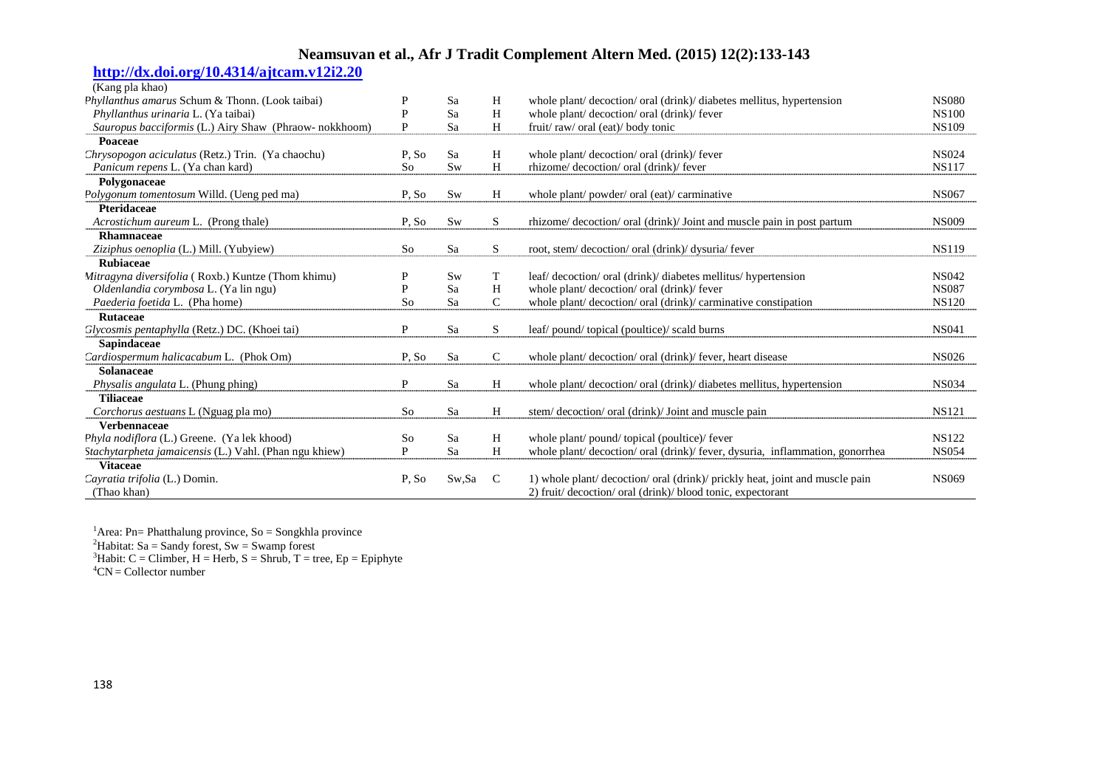## **http://dx.doi.org/10.4314/ajtcam.v12i2.20**

|       | Sa        | Η            | whole plant/decoction/oral (drink)/diabetes mellitus, hypertension     | <b>NS080</b>                                                                                                                                                                                          |
|-------|-----------|--------------|------------------------------------------------------------------------|-------------------------------------------------------------------------------------------------------------------------------------------------------------------------------------------------------|
|       | Sa        | H            | whole plant/ decoction/ oral (drink)/ fever                            | <b>NS100</b>                                                                                                                                                                                          |
| P     | Sa        | H            | fruit/raw/oral (eat)/body tonic                                        | <b>NS109</b>                                                                                                                                                                                          |
|       |           |              |                                                                        |                                                                                                                                                                                                       |
| P, So | Sa        | H            | whole plant/ decoction/ oral (drink)/ fever                            | <b>NS024</b>                                                                                                                                                                                          |
| So    | <b>Sw</b> | H            | rhizome/ decoction/ oral (drink)/ fever                                | <b>NS117</b>                                                                                                                                                                                          |
|       |           |              |                                                                        |                                                                                                                                                                                                       |
| P. So | Sw        | H            | whole plant/powder/oral (eat)/carminative                              | <b>NS067</b>                                                                                                                                                                                          |
|       |           |              |                                                                        |                                                                                                                                                                                                       |
| P, So | <b>Sw</b> | S            | rhizome/ decoction/ oral (drink)/ Joint and muscle pain in post partum | <b>NS009</b>                                                                                                                                                                                          |
|       |           |              |                                                                        |                                                                                                                                                                                                       |
| So    | Sa        | S            | root, stem/decoction/oral (drink)/dysuria/fever                        | <b>NS119</b>                                                                                                                                                                                          |
|       |           |              |                                                                        |                                                                                                                                                                                                       |
| P     | <b>Sw</b> | T            | leaf/decoction/oral (drink)/diabetes mellitus/hypertension             | <b>NS042</b>                                                                                                                                                                                          |
| P     | Sa        | H            | whole plant/ decoction/ oral (drink)/ fever                            | <b>NS087</b>                                                                                                                                                                                          |
| So    | Sa        | $\mathsf{C}$ | whole plant/decoction/oral (drink)/carminative constipation            | <b>NS120</b>                                                                                                                                                                                          |
|       |           |              |                                                                        |                                                                                                                                                                                                       |
| P     | Sa        | S            | leaf/pound/topical (poultice)/scald burns                              | <b>NS041</b>                                                                                                                                                                                          |
|       |           |              |                                                                        |                                                                                                                                                                                                       |
| P. So | Sa        | $\mathsf{C}$ | whole plant/decoction/oral (drink)/fever, heart disease                | <b>NS026</b>                                                                                                                                                                                          |
|       |           |              |                                                                        |                                                                                                                                                                                                       |
| P     | Sa        | H            | whole plant/decoction/oral (drink)/diabetes mellitus, hypertension     | <b>NS034</b>                                                                                                                                                                                          |
|       |           |              |                                                                        |                                                                                                                                                                                                       |
| So    | Sa        | H            | stem/decoction/oral (drink)/Joint and muscle pain                      | <b>NS121</b>                                                                                                                                                                                          |
|       |           |              |                                                                        |                                                                                                                                                                                                       |
| So    | Sa        | H            |                                                                        | <b>NS122</b>                                                                                                                                                                                          |
| P     | Sa        | H            |                                                                        | <b>NS054</b>                                                                                                                                                                                          |
|       |           |              |                                                                        |                                                                                                                                                                                                       |
| P. So | Sw,Sa     | C            |                                                                        | <b>NS069</b>                                                                                                                                                                                          |
|       |           |              | 2) fruit/ decoction/ oral (drink)/ blood tonic, expectorant            |                                                                                                                                                                                                       |
|       |           |              |                                                                        | whole plant/pound/topical (poultice)/fever<br>whole plant/decoction/oral (drink)/fever, dysuria, inflammation, gonorrhea<br>1) whole plant/decoction/oral (drink)/prickly heat, joint and muscle pain |

<sup>1</sup>Area: Pn= Phatthalung province, So = Songkhla province <sup>2</sup>Habitat: Sa = Sandy forest, Sw = Swamp forest <sup>3</sup>Habit: C = Climber, H = Herb, S = Shrub, T = tree, Ep = Epiphyte  ${}^{4}CN =$  Collector number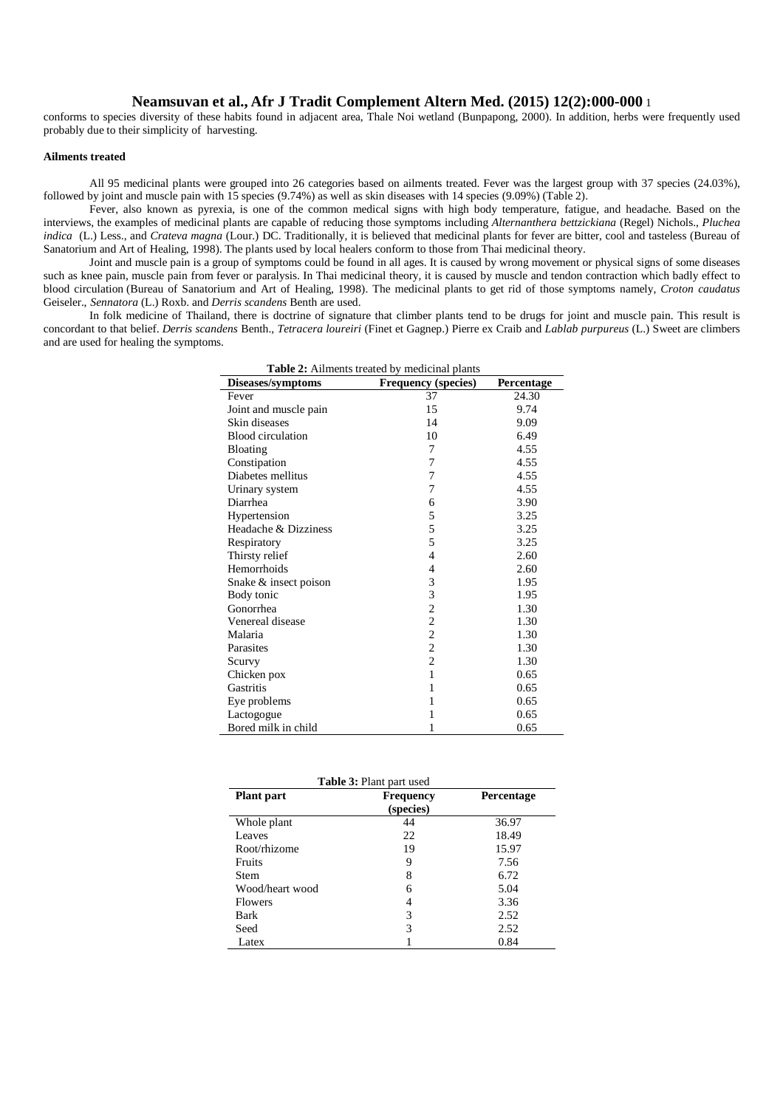conforms to species diversity of these habits found in adjacent area, Thale Noi wetland (Bunpapong, 2000). In addition, herbs were frequently used probably due to their simplicity of harvesting.

#### **Ailments treated**

All 95 medicinal plants were grouped into 26 categories based on ailments treated. Fever was the largest group with 37 species (24.03%), followed by joint and muscle pain with 15 species (9.74%) as well as skin diseases with 14 species (9.09%) (Table 2).

Fever, also known as pyrexia, is one of the common medical signs with high body temperature, fatigue, and headache. Based on the interviews, the examples of medicinal plants are capable of reducing those symptoms including *Alternanthera bettzickiana* (Regel) Nichols., *Pluchea indica* (L.) Less., and *Crateva magna* (Lour.) DC. Traditionally, it is believed that medicinal plants for fever are bitter, cool and tasteless (Bureau of Sanatorium and Art of Healing, 1998). The plants used by local healers conform to those from Thai medicinal theory.

Joint and muscle pain is a group of symptoms could be found in all ages. It is caused by wrong movement or physical signs of some diseases such as knee pain, muscle pain from fever or paralysis. In Thai medicinal theory, it is caused by muscle and tendon contraction which badly effect to blood circulation (Bureau of Sanatorium and Art of Healing, 1998). The medicinal plants to get rid of those symptoms namely, *Croton caudatus* Geiseler., *Sennatora* (L.) Roxb. and *Derris scandens* Benth are used.

In folk medicine of Thailand, there is doctrine of signature that climber plants tend to be drugs for joint and muscle pain. This result is concordant to that belief. *Derris scandens* Benth.*, Tetracera loureiri* (Finet et Gagnep.) Pierre ex Craib and *Lablab purpureus* (L.) Sweet are climbers and are used for healing the symptoms.

| <b>Table 2:</b> Ailments treated by medicinal plants |                                             |            |  |  |
|------------------------------------------------------|---------------------------------------------|------------|--|--|
| Diseases/symptoms                                    | <b>Frequency (species)</b>                  | Percentage |  |  |
| Fever                                                | 37                                          | 24.30      |  |  |
| Joint and muscle pain                                | 15                                          | 9.74       |  |  |
| Skin diseases                                        | 14                                          | 9.09       |  |  |
| <b>Blood</b> circulation                             | 10                                          | 6.49       |  |  |
| <b>Bloating</b>                                      | 7                                           | 4.55       |  |  |
| Constipation                                         | 7                                           | 4.55       |  |  |
| Diabetes mellitus                                    | $\overline{7}$                              | 4.55       |  |  |
| Urinary system                                       | 7                                           | 4.55       |  |  |
| Diarrhea                                             | 6                                           | 3.90       |  |  |
| Hypertension                                         | 5                                           | 3.25       |  |  |
| Headache & Dizziness                                 | 5                                           | 3.25       |  |  |
| Respiratory                                          | 5                                           | 3.25       |  |  |
| Thirsty relief                                       | 4                                           | 2.60       |  |  |
| Hemorrhoids                                          | 4                                           | 2.60       |  |  |
| Snake & insect poison                                | 3                                           | 1.95       |  |  |
| Body tonic                                           | 3                                           | 1.95       |  |  |
| Gonorrhea                                            |                                             | 1.30       |  |  |
| Venereal disease                                     | $\begin{bmatrix} 2 \\ 2 \\ 2 \end{bmatrix}$ | 1.30       |  |  |
| Malaria                                              |                                             | 1.30       |  |  |
| Parasites                                            | $\overline{c}$                              | 1.30       |  |  |
| Scurvy                                               | $\overline{c}$                              | 1.30       |  |  |
| Chicken pox                                          | $\mathbf{1}$                                | 0.65       |  |  |
| Gastritis                                            | 1                                           | 0.65       |  |  |
| Eye problems                                         | 1                                           | 0.65       |  |  |
| Lactogogue                                           | 1                                           | 0.65       |  |  |
| Bored milk in child                                  | 1                                           | 0.65       |  |  |

**Table 3:** Plant part used

| <b>Plant part</b> | <b>Frequency</b> | <b>Percentage</b> |
|-------------------|------------------|-------------------|
|                   | (species)        |                   |
| Whole plant       | 44               | 36.97             |
| Leaves            | 22               | 18.49             |
| Root/rhizome      | 19               | 15.97             |
| <b>Fruits</b>     | 9                | 7.56              |
| <b>Stem</b>       | 8                | 6.72              |
| Wood/heart wood   | 6                | 5.04              |
| <b>Flowers</b>    | 4                | 3.36              |
| <b>Bark</b>       | 3                | 2.52              |
| Seed              | 3                | 2.52              |
| Latex             |                  | 0.84              |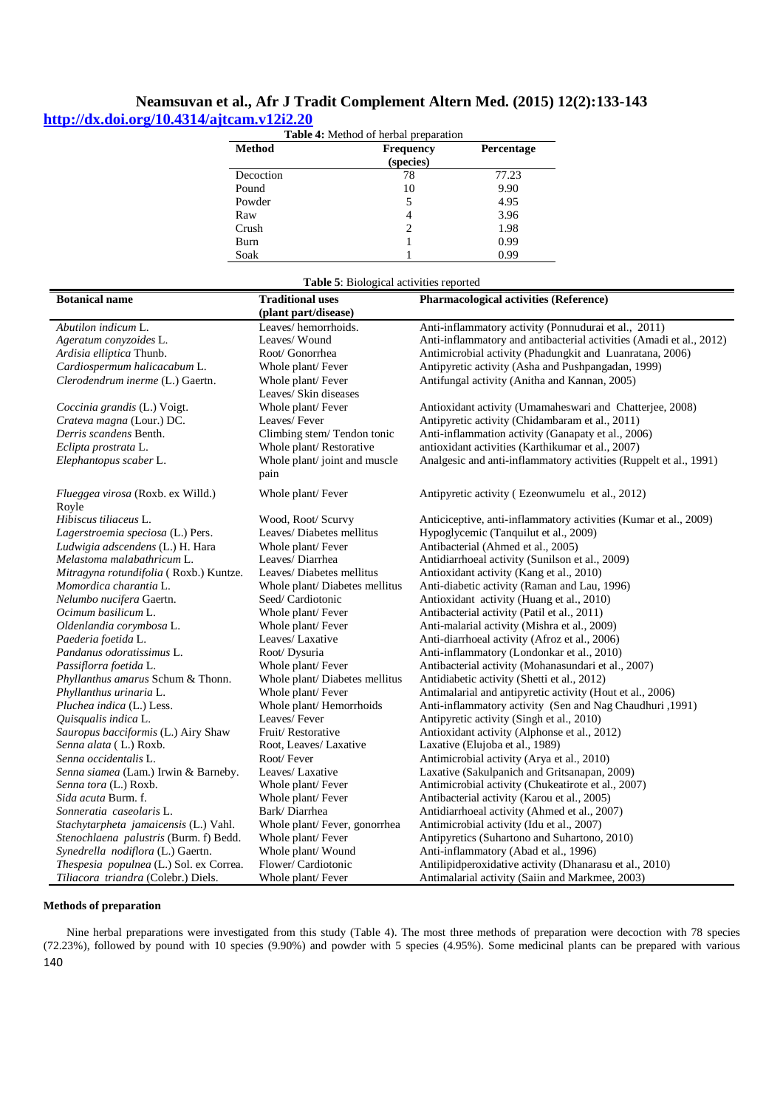# **Neamsuvan et al., Afr J Tradit Complement Altern Med. (2015) 12(2):133-143 http://dx.doi.org/10.4314/ajtcam.v12i2.20**

| <b>Table 4:</b> Method of herbal preparation |                               |                   |  |  |
|----------------------------------------------|-------------------------------|-------------------|--|--|
| Method                                       | <b>Frequency</b><br>(species) | <b>Percentage</b> |  |  |
| Decoction                                    | 78                            | 77.23             |  |  |
| Pound                                        | 10                            | 9.90              |  |  |
| Powder                                       |                               | 4.95              |  |  |
| Raw                                          | 4                             | 3.96              |  |  |
| Crush                                        | 2                             | 1.98              |  |  |
| Burn                                         |                               | 0.99              |  |  |
| Soak                                         |                               | 0.99              |  |  |

| Table 5: Biological activities reported          |                                            |                                                                     |  |  |  |
|--------------------------------------------------|--------------------------------------------|---------------------------------------------------------------------|--|--|--|
| <b>Traditional uses</b><br><b>Botanical name</b> |                                            | <b>Pharmacological activities (Reference)</b>                       |  |  |  |
|                                                  | (plant part/disease)                       |                                                                     |  |  |  |
| Abutilon indicum L.                              | Leaves/hemorrhoids.                        | Anti-inflammatory activity (Ponnudurai et al., 2011)                |  |  |  |
| Ageratum conyzoides L.                           | Leaves/Wound                               | Anti-inflammatory and antibacterial activities (Amadi et al., 2012) |  |  |  |
| Ardisia elliptica Thunb.                         | Root/ Gonorrhea                            | Antimicrobial activity (Phadungkit and Luanratana, 2006)            |  |  |  |
| Cardiospermum halicacabum L.                     | Whole plant/Fever                          | Antipyretic activity (Asha and Pushpangadan, 1999)                  |  |  |  |
| Clerodendrum inerme (L.) Gaertn.                 | Whole plant/Fever<br>Leaves/ Skin diseases | Antifungal activity (Anitha and Kannan, 2005)                       |  |  |  |
| Coccinia grandis (L.) Voigt.                     | Whole plant/Fever                          | Antioxidant activity (Umamaheswari and Chatterjee, 2008)            |  |  |  |
| Crateva magna (Lour.) DC.                        | Leaves/Fever                               | Antipyretic activity (Chidambaram et al., 2011)                     |  |  |  |
| Derris scandens Benth.                           | Climbing stem/Tendon tonic                 | Anti-inflammation activity (Ganapaty et al., 2006)                  |  |  |  |
| Eclipta prostrata L.                             | Whole plant/Restorative                    | antioxidant activities (Karthikumar et al., 2007)                   |  |  |  |
| Elephantopus scaber L.                           | Whole plant/joint and muscle<br>pain       | Analgesic and anti-inflammatory activities (Ruppelt et al., 1991)   |  |  |  |
| Flueggea virosa (Roxb. ex Willd.)<br>Royle       | Whole plant/Fever                          | Antipyretic activity (Ezeonwumelu et al., 2012)                     |  |  |  |
| Hibiscus tiliaceus L.                            | Wood, Root/ Scurvy                         | Anticiceptive, anti-inflammatory activities (Kumar et al., 2009)    |  |  |  |
| Lagerstroemia speciosa (L.) Pers.                | Leaves/Diabetes mellitus                   | Hypoglycemic (Tanquilut et al., 2009)                               |  |  |  |
| Ludwigia adscendens (L.) H. Hara                 | Whole plant/Fever                          | Antibacterial (Ahmed et al., 2005)                                  |  |  |  |
| Melastoma malabathricum L.                       | Leaves/Diarrhea                            | Antidiarrhoeal activity (Sunilson et al., 2009)                     |  |  |  |
| Mitragyna rotundifolia (Roxb.) Kuntze.           | Leaves/Diabetes mellitus                   | Antioxidant activity (Kang et al., 2010)                            |  |  |  |
| Momordica charantia L.                           | Whole plant/Diabetes mellitus              | Anti-diabetic activity (Raman and Lau, 1996)                        |  |  |  |
| Nelumbo nucifera Gaertn.                         | Seed/Cardiotonic                           | Antioxidant activity (Huang et al., 2010)                           |  |  |  |
| Ocimum basilicum L.                              | Whole plant/Fever                          | Antibacterial activity (Patil et al., 2011)                         |  |  |  |
| Oldenlandia corymbosa L.                         | Whole plant/Fever                          | Anti-malarial activity (Mishra et al., 2009)                        |  |  |  |
| Paederia foetida L.                              | Leaves/ Laxative                           | Anti-diarrhoeal activity (Afroz et al., 2006)                       |  |  |  |
| Pandanus odoratissimus L.                        | Root/Dysuria                               | Anti-inflammatory (Londonkar et al., 2010)                          |  |  |  |
| Passiflorra foetida L.                           | Whole plant/Fever                          | Antibacterial activity (Mohanasundari et al., 2007)                 |  |  |  |
| Phyllanthus amarus Schum & Thonn.                | Whole plant/Diabetes mellitus              | Antidiabetic activity (Shetti et al., 2012)                         |  |  |  |
| Phyllanthus urinaria L.                          | Whole plant/Fever                          | Antimalarial and antipyretic activity (Hout et al., 2006)           |  |  |  |
| Pluchea indica (L.) Less.                        | Whole plant/Hemorrhoids                    | Anti-inflammatory activity (Sen and Nag Chaudhuri , 1991)           |  |  |  |
| Quisqualis indica L.                             | Leaves/Fever                               | Antipyretic activity (Singh et al., 2010)                           |  |  |  |
| Sauropus bacciformis (L.) Airy Shaw              | Fruit/Restorative                          | Antioxidant activity (Alphonse et al., 2012)                        |  |  |  |
| Senna alata (L.) Roxb.                           | Root, Leaves/Laxative                      | Laxative (Elujoba et al., 1989)                                     |  |  |  |
| Senna occidentalis L.                            | Root/Fever                                 | Antimicrobial activity (Arya et al., 2010)                          |  |  |  |
| Senna siamea (Lam.) Irwin & Barneby.             | Leaves/Laxative                            | Laxative (Sakulpanich and Gritsanapan, 2009)                        |  |  |  |
| Senna tora (L.) Roxb.                            | Whole plant/Fever                          | Antimicrobial activity (Chukeatirote et al., 2007)                  |  |  |  |
| Sida acuta Burm. f.                              | Whole plant/Fever                          | Antibacterial activity (Karou et al., 2005)                         |  |  |  |
| Sonneratia caseolaris L.                         | Bark/Diarrhea                              | Antidiarrhoeal activity (Ahmed et al., 2007)                        |  |  |  |
| Stachytarpheta jamaicensis (L.) Vahl.            | Whole plant/Fever, gonorrhea               | Antimicrobial activity (Idu et al., 2007)                           |  |  |  |
| Stenochlaena palustris (Burm. f) Bedd.           | Whole plant/Fever                          | Antipyretics (Suhartono and Suhartono, 2010)                        |  |  |  |
| Synedrella nodiflora (L.) Gaertn.                | Whole plant/Wound                          | Anti-inflammatory (Abad et al., 1996)                               |  |  |  |
| Thespesia populnea (L.) Sol. ex Correa.          | Flower/Cardiotonic                         | Antilipidperoxidative activity (Dhanarasu et al., 2010)             |  |  |  |
| Tiliacora triandra (Colebr.) Diels.              | Whole plant/ Fever                         | Antimalarial activity (Saiin and Markmee, 2003)                     |  |  |  |

### **Methods of preparation**

140 Nine herbal preparations were investigated from this study (Table 4). The most three methods of preparation were decoction with 78 species (72.23%), followed by pound with 10 species (9.90%) and powder with 5 species (4.95%). Some medicinal plants can be prepared with various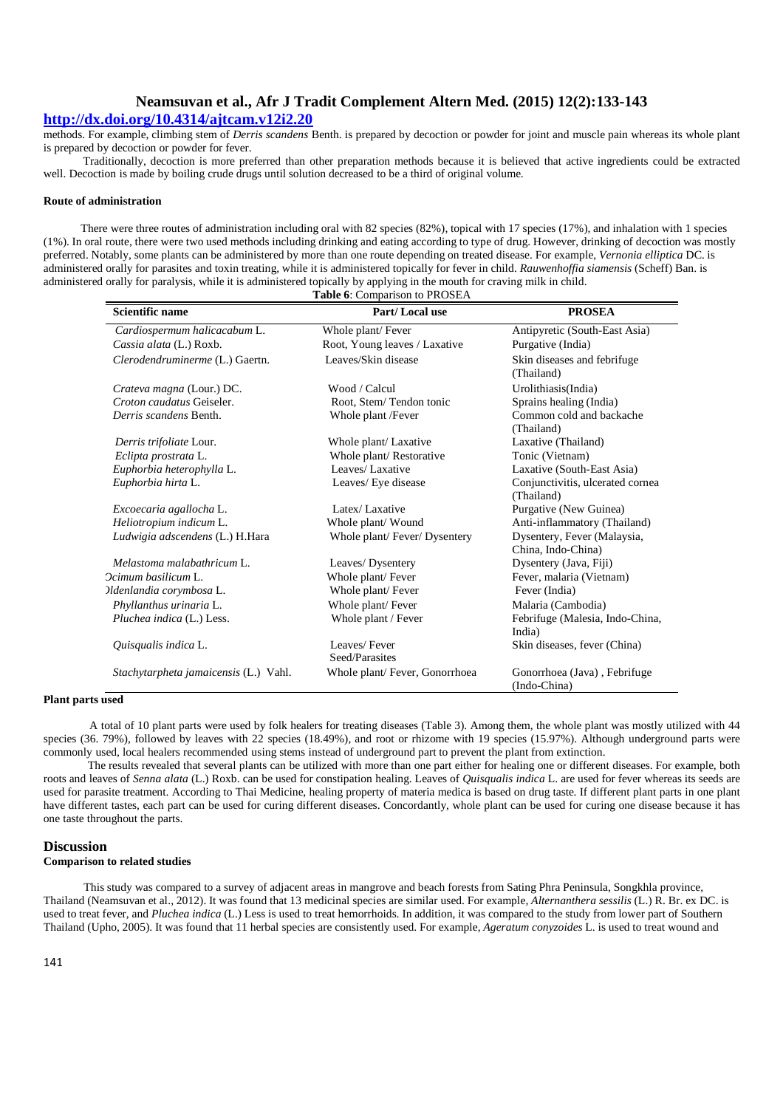# **http://dx.doi.org/10.4314/ajtcam.v12i2.20**

methods. For example, climbing stem of *Derris scandens* Benth. is prepared by decoction or powder for joint and muscle pain whereas its whole plant is prepared by decoction or powder for fever.

Traditionally, decoction is more preferred than other preparation methods because it is believed that active ingredients could be extracted well. Decoction is made by boiling crude drugs until solution decreased to be a third of original volume.

#### **Route of administration**

There were three routes of administration including oral with 82 species (82%), topical with 17 species (17%), and inhalation with 1 species (1%). In oral route, there were two used methods including drinking and eating according to type of drug. However, drinking of decoction was mostly preferred. Notably, some plants can be administered by more than one route depending on treated disease. For example, *Vernonia elliptica* DC. is administered orally for parasites and toxin treating, while it is administered topically for fever in child. *Rauwenhoffia siamensis* (Scheff) Ban. is administered orally for paralysis, while it is administered topically by applying in the mouth for craving milk in child. **Table 6**: Comparison to PROSEA

| <b>Scientific name</b>                | Part/Local use                 | <b>PROSEA</b>                                     |
|---------------------------------------|--------------------------------|---------------------------------------------------|
| Cardiospermum halicacabum L.          | Whole plant/ Fever             | Antipyretic (South-East Asia)                     |
| Cassia alata (L.) Roxb.               | Root, Young leaves / Laxative  | Purgative (India)                                 |
| Clerodendruminerme (L.) Gaertn.       | Leaves/Skin disease            | Skin diseases and febrifuge<br>(Thailand)         |
| Crateva magna (Lour.) DC.             | Wood / Calcul                  | Urolithiasis(India)                               |
| Croton caudatus Geiseler.             | Root, Stem/Tendon tonic        | Sprains healing (India)                           |
| Derris scandens Benth.                | Whole plant /Fever             | Common cold and backache<br>(Thailand)            |
| Derris trifoliate Lour.               | Whole plant/Laxative           | Laxative (Thailand)                               |
| Eclipta prostrata L.                  | Whole plant/Restorative        | Tonic (Vietnam)                                   |
| Euphorbia heterophylla L.             | Leaves/Laxative                | Laxative (South-East Asia)                        |
| Euphorbia hirta L.                    | Leaves/ Eye disease            | Conjunctivitis, ulcerated cornea<br>(Thailand)    |
| Excoecaria agallocha L.               | Latex/Laxative                 | Purgative (New Guinea)                            |
| Heliotropium indicum L.               | Whole plant/ Wound             | Anti-inflammatory (Thailand)                      |
| Ludwigia adscendens (L.) H.Hara       | Whole plant/Fever/Dysentery    | Dysentery, Fever (Malaysia,<br>China, Indo-China) |
| Melastoma malabathricum L.            | Leaves/Dysentery               | Dysentery (Java, Fiji)                            |
| Ocimum basilicum L.                   | Whole plant/Fever              | Fever, malaria (Vietnam)                          |
| Ildenlandia corymbosa L.              | Whole plant/Fever              | Fever (India)                                     |
| Phyllanthus urinaria L.               | Whole plant/Fever              | Malaria (Cambodia)                                |
| Pluchea indica (L.) Less.             | Whole plant / Fever            | Febrifuge (Malesia, Indo-China,<br>India)         |
| Quisqualis indica L.                  | Leaves/Fever<br>Seed/Parasites | Skin diseases, fever (China)                      |
| Stachytarpheta jamaicensis (L.) Vahl. | Whole plant/ Fever, Gonorrhoea | Gonorrhoea (Java), Febrifuge<br>(Indo-China)      |

### **Plant parts used**

A total of 10 plant parts were used by folk healers for treating diseases (Table 3). Among them, the whole plant was mostly utilized with 44 species (36. 79%), followed by leaves with 22 species (18.49%), and root or rhizome with 19 species (15.97%). Although underground parts were commonly used, local healers recommended using stems instead of underground part to prevent the plant from extinction.

The results revealed that several plants can be utilized with more than one part either for healing one or different diseases. For example, both roots and leaves of *Senna alata* (L.) Roxb. can be used for constipation healing. Leaves of *Quisqualis indica* L. are used for fever whereas its seeds are used for parasite treatment. According to Thai Medicine, healing property of materia medica is based on drug taste. If different plant parts in one plant have different tastes, each part can be used for curing different diseases. Concordantly, whole plant can be used for curing one disease because it has one taste throughout the parts.

## **Discussion**

### **Comparison to related studies**

This study was compared to a survey of adjacent areas in mangrove and beach forests from Sating Phra Peninsula, Songkhla province, Thailand (Neamsuvan et al., 2012). It was found that 13 medicinal species are similar used. For example, *Alternanthera sessilis* (L.) R. Br. ex DC. is used to treat fever, and *Pluchea indica* (L.) Less is used to treat hemorrhoids. In addition, it was compared to the study from lower part of Southern Thailand (Upho, 2005). It was found that 11 herbal species are consistently used. For example, *Ageratum conyzoides* L. is used to treat wound and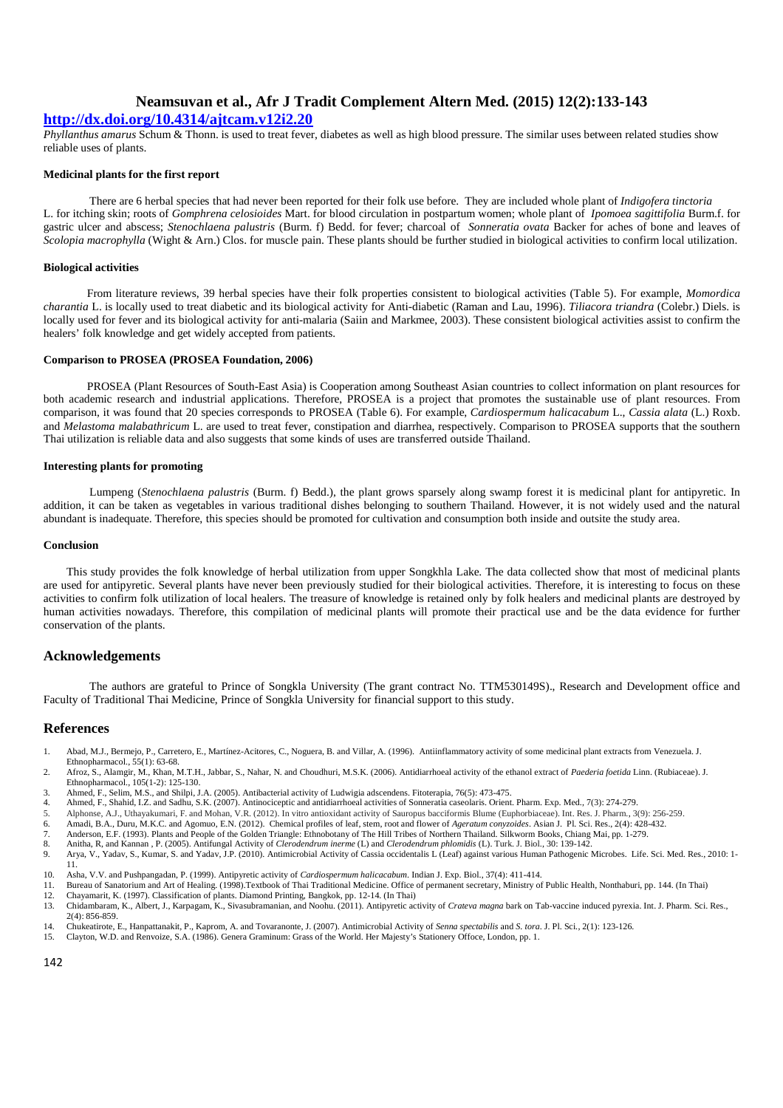### **http://dx.doi.org/10.4314/ajtcam.v12i2.20**

*Phyllanthus amarus* Schum & Thonn. is used to treat fever, diabetes as well as high blood pressure. The similar uses between related studies show reliable uses of plants.

### **Medicinal plants for the first report**

There are 6 herbal species that had never been reported for their folk use before. They are included whole plant of *Indigofera tinctoria* L. for itching skin; roots of *Gomphrena celosioides* Mart. for blood circulation in postpartum women; whole plant of *Ipomoea sagittifolia* Burm.f. for gastric ulcer and abscess; *Stenochlaena palustris* (Burm. f) Bedd. for fever; charcoal of *Sonneratia ovata* Backer for aches of bone and leaves of *Scolopia macrophylla* (Wight & Arn.) Clos. for muscle pain. These plants should be further studied in biological activities to confirm local utilization.

#### **Biological activities**

From literature reviews, 39 herbal species have their folk properties consistent to biological activities (Table 5). For example, *Momordica charantia* L. is locally used to treat diabetic and its biological activity for Anti-diabetic (Raman and Lau, 1996). *Tiliacora triandra* (Colebr.) Diels. is locally used for fever and its biological activity for anti-malaria (Saiin and Markmee, 2003). These consistent biological activities assist to confirm the healers' folk knowledge and get widely accepted from patients.

#### **Comparison to PROSEA (PROSEA Foundation, 2006)**

PROSEA (Plant Resources of South-East Asia) is Cooperation among Southeast Asian countries to collect information on plant resources for both academic research and industrial applications. Therefore, PROSEA is a project that promotes the sustainable use of plant resources. From comparison, it was found that 20 species corresponds to PROSEA (Table 6). For example, *Cardiospermum halicacabum* L., *Cassia alata* (L.) Roxb. and *Melastoma malabathricum* L. are used to treat fever, constipation and diarrhea, respectively. Comparison to PROSEA supports that the southern Thai utilization is reliable data and also suggests that some kinds of uses are transferred outside Thailand.

### **Interesting plants for promoting**

Lumpeng (*Stenochlaena palustris* (Burm. f) Bedd.), the plant grows sparsely along swamp forest it is medicinal plant for antipyretic. In addition, it can be taken as vegetables in various traditional dishes belonging to southern Thailand. However, it is not widely used and the natural abundant is inadequate. Therefore, this species should be promoted for cultivation and consumption both inside and outsite the study area.

#### **Conclusion**

This study provides the folk knowledge of herbal utilization from upper Songkhla Lake. The data collected show that most of medicinal plants are used for antipyretic. Several plants have never been previously studied for their biological activities. Therefore, it is interesting to focus on these activities to confirm folk utilization of local healers. The treasure of knowledge is retained only by folk healers and medicinal plants are destroyed by human activities nowadays. Therefore, this compilation of medicinal plants will promote their practical use and be the data evidence for further conservation of the plants.

### **Acknowledgements**

The authors are grateful to Prince of Songkla University (The grant contract No. TTM530149S)., Research and Development office and Faculty of Traditional Thai Medicine, Prince of Songkla University for financial support to this study.

#### **References**

- 1. Abad, M.J., Bermejo, P., Carretero, E., Martínez-Acitores, C., Noguera, B. and Villar, A. (1996). Antiinflammatory activity of some medicinal plant extracts from Venezuela. J. Ethnopharmacol., 55(1): 63-68.
- 2. Afroz, S., Alamgir, M., Khan, M.T.H., Jabbar, S., Nahar, N. and Choudhuri, M.S.K. (2006). Antidiarrhoeal activity of the ethanol extract of *Paederia foetida* Linn. (Rubiaceae). J. Ethnopharmacol., 105(1-2): 125-130.
- 3. Ahmed, F., Selim, M.S., and Shilpi, J.A. (2005). Antibacterial activity of Ludwigia adscendens. Fitoterapia, 76(5): 473-475.
- 4. Ahmed, F., Shahid, I.Z. and Sadhu, S.K. (2007). Antinociceptic and antidiarrhoeal activities of Sonneratia caseolaris. Orient. Pharm. Exp. Med., 7(3): 274-279.<br>4. Alphonse, A.J., Uthayakumari, F. and Mohan, V.R. (2012).
- 5. Alphonse, A.J., Uthayakumari, F. and Mohan, V.R. (2012). In vitro antioxidant activity of Sauropus bacciformis Blume (Euphorbiaceae). Int. Res. J. Pharm., 3(9): 256-259.<br>6. Amadi, B.A., Duru, M.K.C. and Agomuo, E.N. (20
- 6. Amadi, B.A., Duru, M.K.C. and Agomuo, E.N. (2012). Chemical profiles of leaf, stem, root and flower of *Ageratum conyzoides*. Asian J. Pl. Sci. Res., 2(4): 428-432.
- 7. Anderson, E.F. (1993). Plants and People of the Golden Triangle: Ethnobotany of The Hill Tribes of Northern Thailand. Silkworm Books, Chiang Mai, pp. 1-279.<br>8. Anitha R. and Kannan, P. (2005). Antifungal Activity of *Cl*
- 8. Anitha, R, and Kannan , P. (2005). Antifungal Activity of *Clerodendrum inerme* (L) and *Clerodendrum phlomidis* (L). Turk. J. Biol., 30: 139-142.
- 9. Arya, V., Yadav, S., Kumar, S. and Yadav, J.P. (2010). Antimicrobial Activity of Cassia occidentalis L (Leaf) against various Human Pathogenic Microbes. Life. Sci. Med. Res., 2010: 1- 11.
- 10. Asha, V.V. and Pushpangadan, P. (1999). Antipyretic activity of *Cardiospermum halicacabum*. Indian J. Exp. Biol., 37(4): 411-414.
- 11. Bureau of Sanatorium and Art of Healing. (1998).Textbook of Thai Traditional Medicine. Office of permanent secretary, Ministry of Public Health, Nonthaburi, pp. 144. (In Thai)
- 12. Chayamarit, K. (1997). Classification of plants. Diamond Printing, Bangkok, pp. 12-14. (In Thai)<br>13. Chidambaram, K., Albert, J., Karpagam, K., Sivasubramanian, and Noohu. (2011). Antipyretic activity of Crateva magna 2(4): 856-859.
- 14. Chukeatirote, E., Hanpattanakit, P., Kaprom, A. and Tovaranonte, J. (2007). Antimicrobial Activity of *Senna spectabilis* and *S. tora*. J. Pl. Sci*.*, 2(1): 123-126.
- 15. Clayton, W.D. and Renvoize, S.A. (1986). Genera Graminum: Grass of the World. Her Majesty's Stationery Offoce, London, pp. 1.